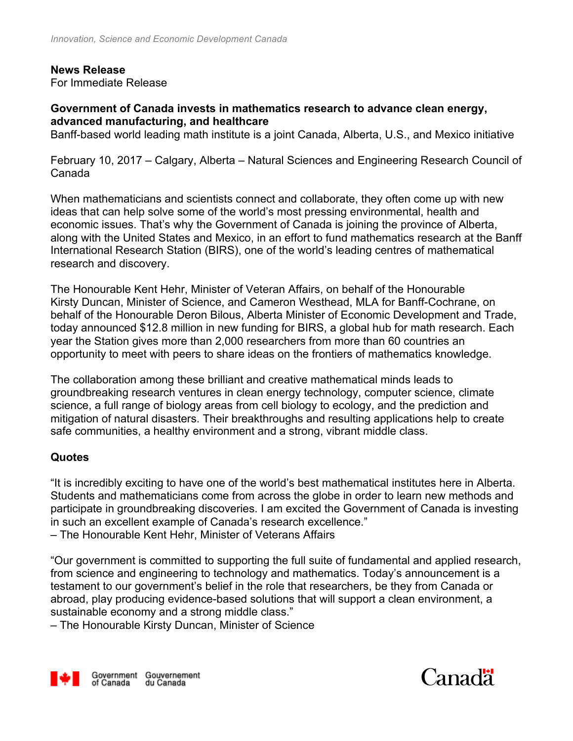#### **News Release**

For Immediate Release

#### **Government of Canada invests in mathematics research to advance clean energy, advanced manufacturing, and healthcare**

Banff-based world leading math institute is a joint Canada, Alberta, U.S., and Mexico initiative

February 10, 2017 – Calgary, Alberta – Natural Sciences and Engineering Research Council of Canada

When mathematicians and scientists connect and collaborate, they often come up with new ideas that can help solve some of the world's most pressing environmental, health and economic issues. That's why the Government of Canada is joining the province of Alberta, along with the United States and Mexico, in an effort to fund mathematics research at the Banff International Research Station (BIRS), one of the world's leading centres of mathematical research and discovery.

The Honourable Kent Hehr, Minister of Veteran Affairs, on behalf of the Honourable Kirsty Duncan, Minister of Science, and Cameron Westhead, MLA for Banff-Cochrane, on behalf of the Honourable Deron Bilous, Alberta Minister of Economic Development and Trade, today announced \$12.8 million in new funding for BIRS, a global hub for math research. Each year the Station gives more than 2,000 researchers from more than 60 countries an opportunity to meet with peers to share ideas on the frontiers of mathematics knowledge.

The collaboration among these brilliant and creative mathematical minds leads to groundbreaking research ventures in clean energy technology, computer science, climate science, a full range of biology areas from cell biology to ecology, and the prediction and mitigation of natural disasters. Their breakthroughs and resulting applications help to create safe communities, a healthy environment and a strong, vibrant middle class.

#### **Quotes**

"It is incredibly exciting to have one of the world's best mathematical institutes here in Alberta. Students and mathematicians come from across the globe in order to learn new methods and participate in groundbreaking discoveries. I am excited the Government of Canada is investing in such an excellent example of Canada's research excellence."

– The Honourable Kent Hehr, Minister of Veterans Affairs

"Our government is committed to supporting the full suite of fundamental and applied research, from science and engineering to technology and mathematics. Today's announcement is a testament to our government's belief in the role that researchers, be they from Canada or abroad, play producing evidence-based solutions that will support a clean environment, a sustainable economy and a strong middle class."

– The Honourable Kirsty Duncan, Minister of Science



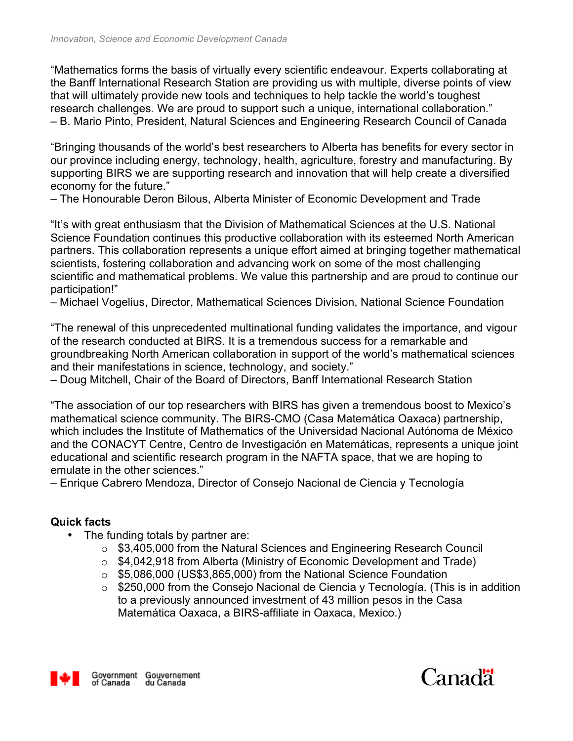"Mathematics forms the basis of virtually every scientific endeavour. Experts collaborating at the Banff International Research Station are providing us with multiple, diverse points of view that will ultimately provide new tools and techniques to help tackle the world's toughest research challenges. We are proud to support such a unique, international collaboration." – B. Mario Pinto, President, Natural Sciences and Engineering Research Council of Canada

"Bringing thousands of the world's best researchers to Alberta has benefits for every sector in our province including energy, technology, health, agriculture, forestry and manufacturing. By supporting BIRS we are supporting research and innovation that will help create a diversified economy for the future."

– The Honourable Deron Bilous, Alberta Minister of Economic Development and Trade

"It's with great enthusiasm that the Division of Mathematical Sciences at the U.S. National Science Foundation continues this productive collaboration with its esteemed North American partners. This collaboration represents a unique effort aimed at bringing together mathematical scientists, fostering collaboration and advancing work on some of the most challenging scientific and mathematical problems. We value this partnership and are proud to continue our participation!"

– Michael Vogelius, Director, Mathematical Sciences Division, National Science Foundation

"The renewal of this unprecedented multinational funding validates the importance, and vigour of the research conducted at BIRS. It is a tremendous success for a remarkable and groundbreaking North American collaboration in support of the world's mathematical sciences and their manifestations in science, technology, and society."

– Doug Mitchell, Chair of the Board of Directors, Banff International Research Station

"The association of our top researchers with BIRS has given a tremendous boost to Mexico's mathematical science community. The BIRS-CMO (Casa Matemática Oaxaca) partnership, which includes the Institute of Mathematics of the Universidad Nacional Autónoma de México and the CONACYT Centre, Centro de Investigación en Matemáticas, represents a unique joint educational and scientific research program in the NAFTA space, that we are hoping to emulate in the other sciences."

– Enrique Cabrero Mendoza, Director of Consejo Nacional de Ciencia y Tecnología

### **Quick facts**

- The funding totals by partner are:
	- o \$3,405,000 from the Natural Sciences and Engineering Research Council
	- o \$4,042,918 from Alberta (Ministry of Economic Development and Trade)
	- o \$5,086,000 (US\$3,865,000) from the National Science Foundation
	- $\circ$  \$250,000 from the Consejo Nacional de Ciencia y Tecnología. (This is in addition to a previously announced investment of 43 million pesos in the Casa Matemática Oaxaca, a BIRS-affiliate in Oaxaca, Mexico.)



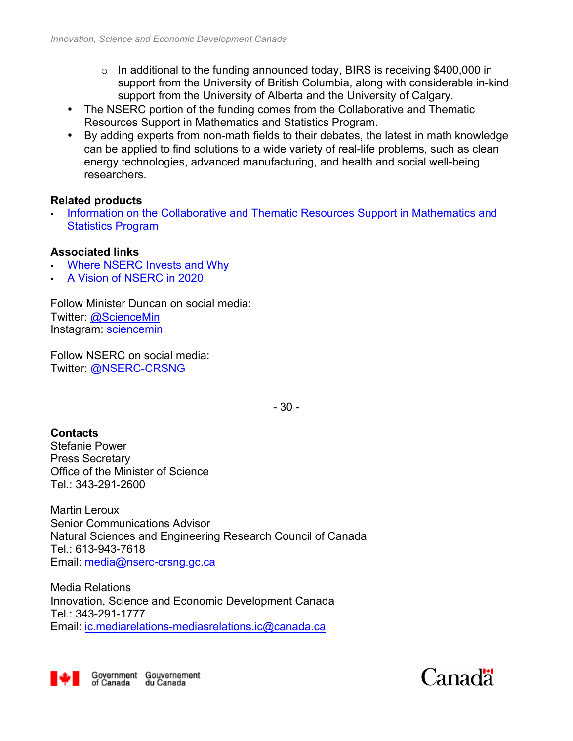- $\circ$  In additional to the funding announced today, BIRS is receiving \$400,000 in support from the University of British Columbia, along with considerable in-kind support from the University of Alberta and the University of Calgary.
- The NSERC portion of the funding comes from the Collaborative and Thematic Resources Support in Mathematics and Statistics Program.
- By adding experts from non-math fields to their debates, the latest in math knowledge can be applied to find solutions to a wide variety of real-life problems, such as clean energy technologies, advanced manufacturing, and health and social well-being researchers.

#### **Related products**

• Information on the Collaborative and Thematic Resources Support in Mathematics and Statistics Program

### **Associated links**

- Where NSERC Invests and Why
- A Vision of NSERC in 2020

Follow Minister Duncan on social media: Twitter: @ScienceMin Instagram: sciencemin

Follow NSERC on social media: Twitter: @NSERC-CRSNG

- 30 -

## **Contacts**

Stefanie Power Press Secretary Office of the Minister of Science Tel.: 343-291-2600

Martin Leroux Senior Communications Advisor Natural Sciences and Engineering Research Council of Canada Tel.: 613-943-7618 Email: media@nserc-crsng.gc.ca

Media Relations Innovation, Science and Economic Development Canada Tel.: 343-291-1777 Email: ic.mediarelations-mediasrelations.ic@canada.ca



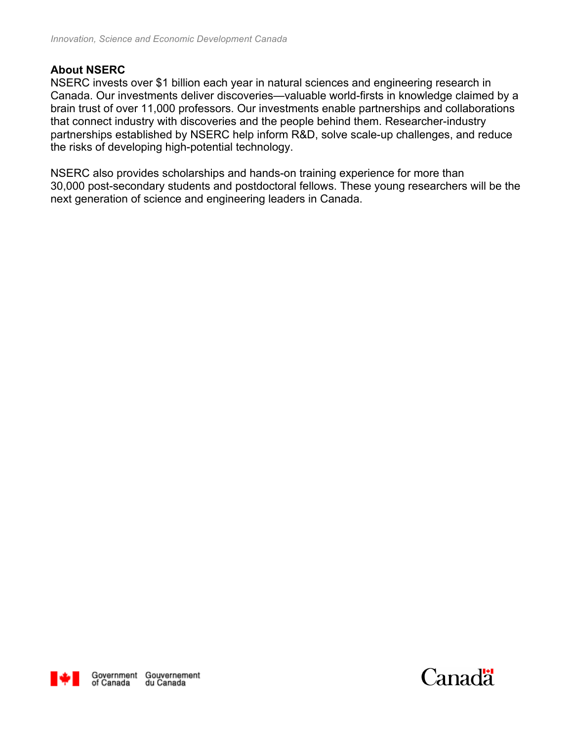### **About NSERC**

NSERC invests over \$1 billion each year in natural sciences and engineering research in Canada. Our investments deliver discoveries—valuable world-firsts in knowledge claimed by a brain trust of over 11,000 professors. Our investments enable partnerships and collaborations that connect industry with discoveries and the people behind them. Researcher-industry partnerships established by NSERC help inform R&D, solve scale-up challenges, and reduce the risks of developing high-potential technology.

NSERC also provides scholarships and hands-on training experience for more than 30,000 post-secondary students and postdoctoral fellows. These young researchers will be the next generation of science and engineering leaders in Canada.



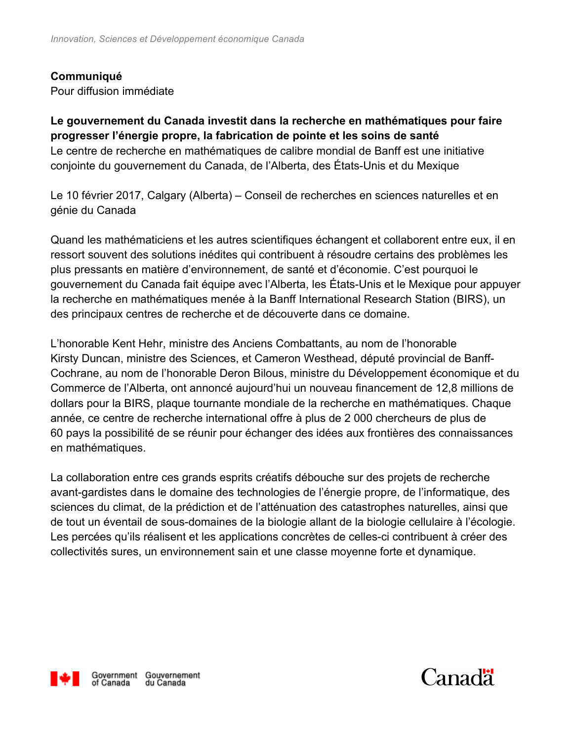### **Communiqué**

Pour diffusion immédiate

**Le gouvernement du Canada investit dans la recherche en mathématiques pour faire progresser l'énergie propre, la fabrication de pointe et les soins de santé** Le centre de recherche en mathématiques de calibre mondial de Banff est une initiative conjointe du gouvernement du Canada, de l'Alberta, des États-Unis et du Mexique

Le 10 février 2017, Calgary (Alberta) – Conseil de recherches en sciences naturelles et en génie du Canada

Quand les mathématiciens et les autres scientifiques échangent et collaborent entre eux, il en ressort souvent des solutions inédites qui contribuent à résoudre certains des problèmes les plus pressants en matière d'environnement, de santé et d'économie. C'est pourquoi le gouvernement du Canada fait équipe avec l'Alberta, les États-Unis et le Mexique pour appuyer la recherche en mathématiques menée à la Banff International Research Station (BIRS), un des principaux centres de recherche et de découverte dans ce domaine.

L'honorable Kent Hehr, ministre des Anciens Combattants, au nom de l'honorable Kirsty Duncan, ministre des Sciences, et Cameron Westhead, député provincial de Banff-Cochrane, au nom de l'honorable Deron Bilous, ministre du Développement économique et du Commerce de l'Alberta, ont annoncé aujourd'hui un nouveau financement de 12,8 millions de dollars pour la BIRS, plaque tournante mondiale de la recherche en mathématiques. Chaque année, ce centre de recherche international offre à plus de 2 000 chercheurs de plus de 60 pays la possibilité de se réunir pour échanger des idées aux frontières des connaissances en mathématiques.

La collaboration entre ces grands esprits créatifs débouche sur des projets de recherche avant-gardistes dans le domaine des technologies de l'énergie propre, de l'informatique, des sciences du climat, de la prédiction et de l'atténuation des catastrophes naturelles, ainsi que de tout un éventail de sous-domaines de la biologie allant de la biologie cellulaire à l'écologie. Les percées qu'ils réalisent et les applications concrètes de celles-ci contribuent à créer des collectivités sures, un environnement sain et une classe moyenne forte et dynamique.



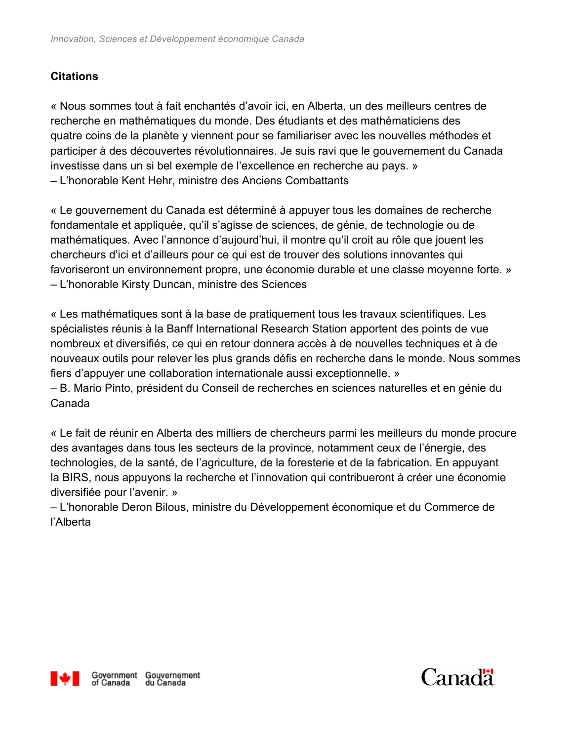# **Citations**

« Nous sommes tout à fait enchantés d'avoir ici, en Alberta, un des meilleurs centres de recherche en mathématiques du monde. Des étudiants et des mathématiciens des quatre coins de la planète y viennent pour se familiariser avec les nouvelles méthodes et participer à des découvertes révolutionnaires. Je suis ravi que le gouvernement du Canada investisse dans un si bel exemple de l'excellence en recherche au pays. » – L'honorable Kent Hehr, ministre des Anciens Combattants

« Le gouvernement du Canada est déterminé à appuyer tous les domaines de recherche fondamentale et appliquée, qu'il s'agisse de sciences, de génie, de technologie ou de mathématiques. Avec l'annonce d'aujourd'hui, il montre qu'il croit au rôle que jouent les chercheurs d'ici et d'ailleurs pour ce qui est de trouver des solutions innovantes qui favoriseront un environnement propre, une économie durable et une classe moyenne forte. » – L'honorable Kirsty Duncan, ministre des Sciences

« Les mathématiques sont à la base de pratiquement tous les travaux scientifiques. Les spécialistes réunis à la Banff International Research Station apportent des points de vue nombreux et diversifiés, ce qui en retour donnera accès à de nouvelles techniques et à de nouveaux outils pour relever les plus grands défis en recherche dans le monde. Nous sommes fiers d'appuyer une collaboration internationale aussi exceptionnelle. »

– B. Mario Pinto, président du Conseil de recherches en sciences naturelles et en génie du Canada

« Le fait de réunir en Alberta des milliers de chercheurs parmi les meilleurs du monde procure des avantages dans tous les secteurs de la province, notamment ceux de l'énergie, des technologies, de la santé, de l'agriculture, de la foresterie et de la fabrication. En appuyant la BIRS, nous appuyons la recherche et l'innovation qui contribueront à créer une économie diversifiée pour l'avenir. »

– L'honorable Deron Bilous, ministre du Développement économique et du Commerce de l'Alberta



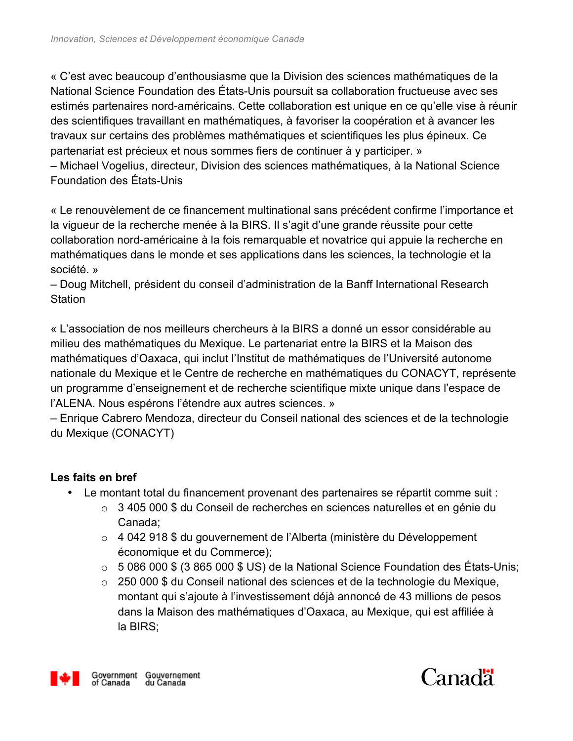« C'est avec beaucoup d'enthousiasme que la Division des sciences mathématiques de la National Science Foundation des États-Unis poursuit sa collaboration fructueuse avec ses estimés partenaires nord-américains. Cette collaboration est unique en ce qu'elle vise à réunir des scientifiques travaillant en mathématiques, à favoriser la coopération et à avancer les travaux sur certains des problèmes mathématiques et scientifiques les plus épineux. Ce partenariat est précieux et nous sommes fiers de continuer à y participer. » – Michael Vogelius, directeur, Division des sciences mathématiques, à la National Science Foundation des États-Unis

« Le renouvèlement de ce financement multinational sans précédent confirme l'importance et la vigueur de la recherche menée à la BIRS. Il s'agit d'une grande réussite pour cette collaboration nord-américaine à la fois remarquable et novatrice qui appuie la recherche en mathématiques dans le monde et ses applications dans les sciences, la technologie et la société. »

– Doug Mitchell, président du conseil d'administration de la Banff International Research **Station** 

« L'association de nos meilleurs chercheurs à la BIRS a donné un essor considérable au milieu des mathématiques du Mexique. Le partenariat entre la BIRS et la Maison des mathématiques d'Oaxaca, qui inclut l'Institut de mathématiques de l'Université autonome nationale du Mexique et le Centre de recherche en mathématiques du CONACYT, représente un programme d'enseignement et de recherche scientifique mixte unique dans l'espace de l'ALENA. Nous espérons l'étendre aux autres sciences. »

– Enrique Cabrero Mendoza, directeur du Conseil national des sciences et de la technologie du Mexique (CONACYT)

## **Les faits en bref**

- Le montant total du financement provenant des partenaires se répartit comme suit :
	- o 3 405 000 \$ du Conseil de recherches en sciences naturelles et en génie du Canada;
	- o 4 042 918 \$ du gouvernement de l'Alberta (ministère du Développement économique et du Commerce);
	- $\circ$  5 086 000 \$ (3 865 000 \$ US) de la National Science Foundation des États-Unis;
	- o 250 000 \$ du Conseil national des sciences et de la technologie du Mexique, montant qui s'ajoute à l'investissement déjà annoncé de 43 millions de pesos dans la Maison des mathématiques d'Oaxaca, au Mexique, qui est affiliée à la BIRS;



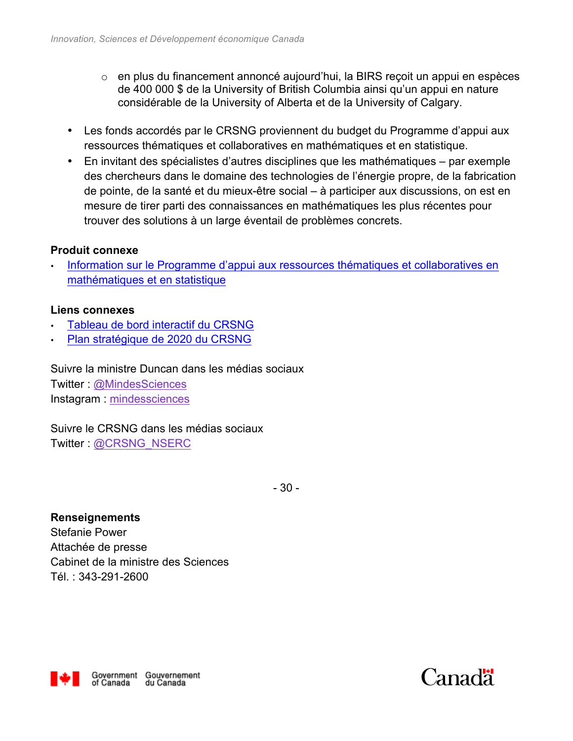- o en plus du financement annoncé aujourd'hui, la BIRS reçoit un appui en espèces de 400 000 \$ de la University of British Columbia ainsi qu'un appui en nature considérable de la University of Alberta et de la University of Calgary.
- Les fonds accordés par le CRSNG proviennent du budget du Programme d'appui aux ressources thématiques et collaboratives en mathématiques et en statistique.
- En invitant des spécialistes d'autres disciplines que les mathématiques par exemple des chercheurs dans le domaine des technologies de l'énergie propre, de la fabrication de pointe, de la santé et du mieux-être social – à participer aux discussions, on est en mesure de tirer parti des connaissances en mathématiques les plus récentes pour trouver des solutions à un large éventail de problèmes concrets.

## **Produit connexe**

Information sur le Programme d'appui aux ressources thématiques et collaboratives en mathématiques et en statistique

### **Liens connexes**

- Tableau de bord interactif du CRSNG
- Plan stratégique de 2020 du CRSNG

Suivre la ministre Duncan dans les médias sociaux Twitter : @MindesSciences Instagram : mindessciences

Suivre le CRSNG dans les médias sociaux Twitter : @CRSNG\_NSERC

- 30 -

**Renseignements** Stefanie Power Attachée de presse Cabinet de la ministre des Sciences Tél. : 343-291-2600